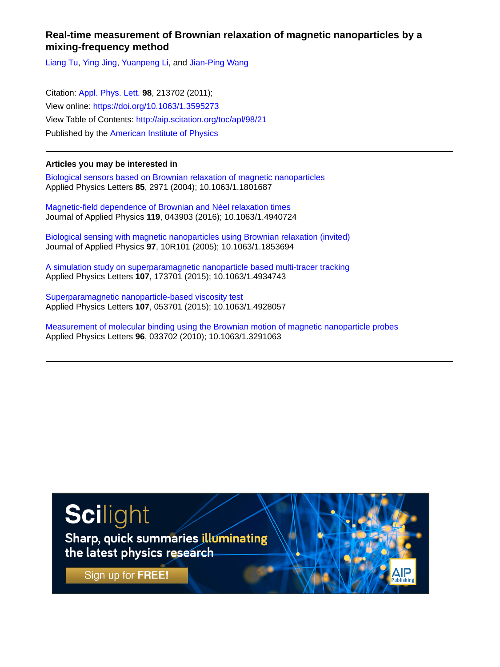## **Real-time measurement of Brownian relaxation of magnetic nanoparticles by a mixing-frequency method**

[Liang Tu,](http://aip.scitation.org/author/Tu%2C+Liang) [Ying Jing,](http://aip.scitation.org/author/Jing%2C+Ying) [Yuanpeng Li](http://aip.scitation.org/author/Li%2C+Yuanpeng), and [Jian-Ping Wang](http://aip.scitation.org/author/Wang%2C+Jian-Ping)

Citation: [Appl. Phys. Lett.](/loi/apl) **98**, 213702 (2011); View online: <https://doi.org/10.1063/1.3595273> View Table of Contents: <http://aip.scitation.org/toc/apl/98/21> Published by the [American Institute of Physics](http://aip.scitation.org/publisher/)

## **Articles you may be interested in**

[Biological sensors based on Brownian relaxation of magnetic nanoparticles](http://aip.scitation.org/doi/abs/10.1063/1.1801687) Applied Physics Letters **85**, 2971 (2004); 10.1063/1.1801687

[Magnetic-field dependence of Brownian and Néel relaxation times](http://aip.scitation.org/doi/abs/10.1063/1.4940724) Journal of Applied Physics **119**, 043903 (2016); 10.1063/1.4940724

[Biological sensing with magnetic nanoparticles using Brownian relaxation \(invited\)](http://aip.scitation.org/doi/abs/10.1063/1.1853694) Journal of Applied Physics **97**, 10R101 (2005); 10.1063/1.1853694

[A simulation study on superparamagnetic nanoparticle based multi-tracer tracking](http://aip.scitation.org/doi/abs/10.1063/1.4934743) Applied Physics Letters **107**, 173701 (2015); 10.1063/1.4934743

[Superparamagnetic nanoparticle-based viscosity test](http://aip.scitation.org/doi/abs/10.1063/1.4928057) Applied Physics Letters **107**, 053701 (2015); 10.1063/1.4928057

[Measurement of molecular binding using the Brownian motion of magnetic nanoparticle probes](http://aip.scitation.org/doi/abs/10.1063/1.3291063) Applied Physics Letters **96**, 033702 (2010); 10.1063/1.3291063

## Scilight

Sharp, quick summaries illuminating the latest physics research

Sign up for FREE!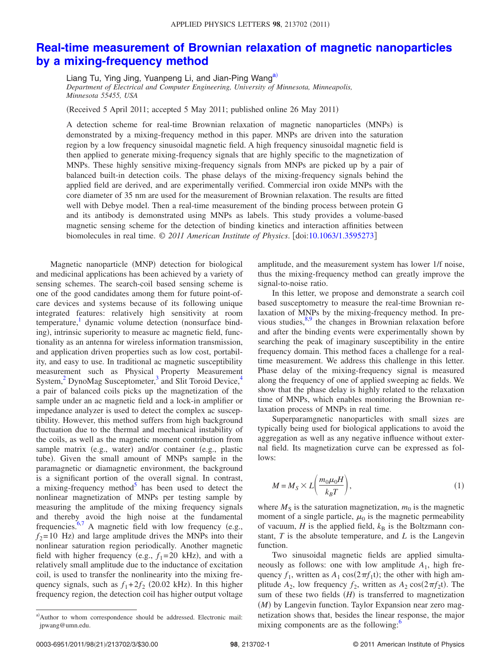## **[Real-time measurement of Brownian relaxation of magnetic nanoparticles](http://dx.doi.org/10.1063/1.3595273) [by a mixing-frequency method](http://dx.doi.org/10.1063/1.3595273)**

Liang Tu, Ying Jing, Yuanpeng Li, and Jian-Ping Wang<sup>a)</sup> *Department of Electrical and Computer Engineering, University of Minnesota, Minneapolis, Minnesota 55455, USA*

(Received 5 April 2011; accepted 5 May 2011; published online 26 May 2011)

A detection scheme for real-time Brownian relaxation of magnetic nanoparticles (MNPs) is demonstrated by a mixing-frequency method in this paper. MNPs are driven into the saturation region by a low frequency sinusoidal magnetic field. A high frequency sinusoidal magnetic field is then applied to generate mixing-frequency signals that are highly specific to the magnetization of MNPs. These highly sensitive mixing-frequency signals from MNPs are picked up by a pair of balanced built-in detection coils. The phase delays of the mixing-frequency signals behind the applied field are derived, and are experimentally verified. Commercial iron oxide MNPs with the core diameter of 35 nm are used for the measurement of Brownian relaxation. The results are fitted well with Debye model. Then a real-time measurement of the binding process between protein G and its antibody is demonstrated using MNPs as labels. This study provides a volume-based magnetic sensing scheme for the detection of binding kinetics and interaction affinities between biomolecules in real time. © *2011 American Institute of Physics*. doi[:10.1063/1.3595273](http://dx.doi.org/10.1063/1.3595273)

Magnetic nanoparticle (MNP) detection for biological and medicinal applications has been achieved by a variety of sensing schemes. The search-coil based sensing scheme is one of the good candidates among them for future point-ofcare devices and systems because of its following unique integrated features: relatively high sensitivity at room temperature,<sup>1</sup> dynamic volume detection (nonsurface binding), intrinsic superiority to measure ac magnetic field, functionality as an antenna for wireless information transmission, and application driven properties such as low cost, portability, and easy to use. In traditional ac magnetic susceptibility measurement such as Physical Property Measurement System, $^{2}$  DynoMag Susceptometer, $^{3}$  and Slit Toroid Device, $^{4}$ a pair of balanced coils picks up the magnetization of the sample under an ac magnetic field and a lock-in amplifier or impedance analyzer is used to detect the complex ac susceptibility. However, this method suffers from high background fluctuation due to the thermal and mechanical instability of the coils, as well as the magnetic moment contribution from sample matrix (e.g., water) and/or container (e.g., plastic tube). Given the small amount of MNPs sample in the paramagnetic or diamagnetic environment, the background is a significant portion of the overall signal. In contrast, a mixing-frequency method $\delta$  has been used to detect the nonlinear magnetization of MNPs per testing sample by measuring the amplitude of the mixing frequency signals and thereby avoid the high noise at the fundamental frequencies.<sup>6,[7](#page-3-6)</sup> A magnetic field with low frequency (e.g.,  $f_2$ = 10 Hz) and large amplitude drives the MNPs into their nonlinear saturation region periodically. Another magnetic field with higher frequency (e.g.,  $f_1 = 20$  kHz), and with a relatively small amplitude due to the inductance of excitation coil, is used to transfer the nonlinearity into the mixing frequency signals, such as  $f_1 + 2f_2$  (20.02 kHz). In this higher frequency region, the detection coil has higher output voltage

amplitude, and the measurement system has lower 1/f noise, thus the mixing-frequency method can greatly improve the signal-to-noise ratio.

In this letter, we propose and demonstrate a search coil based susceptometry to measure the real-time Brownian relaxation of MNPs by the mixing-frequency method. In previous studies, $8,9$  $8,9$  the changes in Brownian relaxation before and after the binding events were experimentally shown by searching the peak of imaginary susceptibility in the entire frequency domain. This method faces a challenge for a realtime measurement. We address this challenge in this letter. Phase delay of the mixing-frequency signal is measured along the frequency of one of applied sweeping ac fields. We show that the phase delay is highly related to the relaxation time of MNPs, which enables monitoring the Brownian relaxation process of MNPs in real time.

Superparamgnetic nanoparticles with small sizes are typically being used for biological applications to avoid the aggregation as well as any negative influence without external field. Its magnetization curve can be expressed as follows:

$$
M = M_S \times L\left(\frac{m_0\mu_0 H}{k_B T}\right),\tag{1}
$$

where  $M<sub>S</sub>$  is the saturation magnetization,  $m<sub>0</sub>$  is the magnetic moment of a single particle,  $\mu_0$  is the magnetic permeability of vacuum,  $H$  is the applied field,  $k<sub>B</sub>$  is the Boltzmann constant, *T* is the absolute temperature, and *L* is the Langevin function.

Two sinusoidal magnetic fields are applied simultaneously as follows: one with low amplitude  $A_1$ , high frequency  $f_1$ , written as  $A_1 \cos(2\pi f_1 t)$ ; the other with high amplitude  $A_2$ , low frequency  $f_2$ , written as  $A_2 \cos(2\pi f_2 t)$ . The sum of these two fields  $(H)$  is transferred to magnetization (M) by Langevin function. Taylor Expansion near zero magnetization shows that, besides the linear response, the major mixing components are as the following:<sup>6</sup>

<span id="page-1-0"></span>a)Author to whom correspondence should be addressed. Electronic mail: jpwang@umn.edu.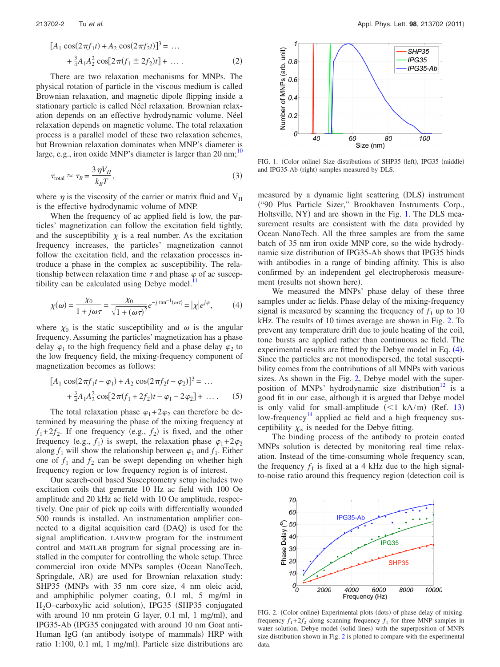$$
[A_1 \cos(2\pi f_1 t) + A_2 \cos(2\pi f_2 t)]^3 = \dots
$$
  
+  $\frac{3}{4}A_1 A_2^2 \cos[2\pi (f_1 \pm 2f_2)t] + \dots$  (2)

There are two relaxation mechanisms for MNPs. The physical rotation of particle in the viscous medium is called Brownian relaxation, and magnetic dipole flipping inside a stationary particle is called Néel relaxation. Brownian relaxation depends on an effective hydrodynamic volume. Néel relaxation depends on magnetic volume. The total relaxation process is a parallel model of these two relaxation schemes, but Brownian relaxation dominates when MNP's diameter is large, e.g., iron oxide MNP's diameter is larger than  $20 \text{ nm}$ ;<sup>10</sup>

$$
\tau_{\text{total}} \approx \tau_B = \frac{3 \,\eta V_H}{k_B T},\tag{3}
$$

where  $\eta$  is the viscosity of the carrier or matrix fluid and  $V_H$ is the effective hydrodynamic volume of MNP.

When the frequency of ac applied field is low, the particles' magnetization can follow the excitation field tightly, and the susceptibility  $\chi$  is a real number. As the excitation frequency increases, the particles' magnetization cannot follow the excitation field, and the relaxation processes introduce a phase in the complex ac susceptibility. The relationship between relaxation time  $\tau$  and phase  $\varphi$  of ac susceptibility can be calculated using Debye model.<sup>1</sup>

<span id="page-2-2"></span>
$$
\chi(\omega) = \frac{\chi_0}{1 + j\omega\tau} = \frac{\chi_0}{\sqrt{1 + (\omega\tau)^2}} e^{-j\tan^{-1}(\omega\tau)} = |\chi|e^{j\varphi},\tag{4}
$$

where  $\chi_0$  is the static susceptibility and  $\omega$  is the angular frequency. Assuming the particles' magnetization has a phase delay  $\varphi_1$  to the high frequency field and a phase delay  $\varphi_2$  to the low frequency field, the mixing-frequency component of magnetization becomes as follows:

$$
[A_1 \cos(2\pi f_1 t - \varphi_1) + A_2 \cos(2\pi f_2 t - \varphi_2)]^3 = \dots
$$
  
+  $\frac{3}{4}A_1 A_2^2 \cos[2\pi (f_1 + 2f_2)t - \varphi_1 - 2\varphi_2] + \dots$  (5)

The total relaxation phase  $\varphi_1 + 2\varphi_2$  can therefore be determined by measuring the phase of the mixing frequency at  $f_1 + 2f_2$ . If one frequency (e.g.,  $f_2$ ) is fixed, and the other frequency (e.g.,  $f_1$ ) is swept, the relaxation phase  $\varphi_1 + 2\varphi_2$ along  $f_1$  will show the relationship between  $\varphi_1$  and  $f_1$ . Either one of  $f_1$  and  $f_2$  can be swept depending on whether high frequency region or low frequency region is of interest.

Our search-coil based Susceptometry setup includes two excitation coils that generate 10 Hz ac field with 100 Oe amplitude and 20 kHz ac field with 10 Oe amplitude, respectively. One pair of pick up coils with differentially wounded 500 rounds is installed. An instrumentation amplifier connected to a digital acquisition card (DAQ) is used for the signal amplification. LABVIEW program for the instrument control and MATLAB program for signal processing are installed in the computer for controlling the whole setup. Three commercial iron oxide MNPs samples (Ocean NanoTech, Springdale, AR) are used for Brownian relaxation study: SHP35 (MNPs with 35 nm core size, 4 nm oleic acid, and amphiphilic polymer coating, 0.1 ml, 5 mg/ml in H<sub>2</sub>O-carboxylic acid solution), IPG35 (SHP35 conjugated with around 10 nm protein G layer, 0.1 ml, 1 mg/ml), and IPG35-Ab (IPG35 conjugated with around 10 nm Goat anti-Human IgG (an antibody isotype of mammals) HRP with ratio 1:100, 0.1 ml, 1 mg/ml. Particle size distributions are

<span id="page-2-0"></span>

FIG. 1. (Color online) Size distributions of SHP35 (left), IPG35 (middle) and IPG35-Ab (right) samples measured by DLS.

measured by a dynamic light scattering (DLS) instrument -"90 Plus Particle Sizer," Brookhaven Instruments Corp., Holtsville, NY) and are shown in the Fig. [1.](#page-2-0) The DLS measurement results are consistent with the data provided by Ocean NanoTech. All the three samples are from the same batch of 35 nm iron oxide MNP core, so the wide hydrodynamic size distribution of IPG35-Ab shows that IPG35 binds with antibodies in a range of binding affinity. This is also confirmed by an independent gel electropherosis measurement (results not shown here).

We measured the MNPs' phase delay of these three samples under ac fields. Phase delay of the mixing-frequency signal is measured by scanning the frequency of  $f_1$  up to 10 kHz. The results of 10 times average are shown in Fig. [2.](#page-2-1) To prevent any temperature drift due to joule heating of the coil, tone bursts are applied rather than continuous ac field. The experimental results are fitted by the Debye model in Eq.  $(4)$  $(4)$  $(4)$ . Since the particles are not monodispersed, the total susceptibility comes from the contributions of all MNPs with various sizes. As shown in the Fig. [2,](#page-2-1) Debye model with the superposition of MNPs' hydrodynamic size distribution<sup>12</sup> is a good fit in our case, although it is argued that Debye model is only valid for small-amplitude  $(<1$  kA/m) (Ref. [13](#page-3-12)) low-frequency<sup>14</sup> applied ac field and a high frequency susceptibility  $\chi_{\infty}$  is needed for the Debye fitting.

The binding process of the antibody to protein coated MNPs solution is detected by monitoring real time relaxation. Instead of the time-consuming whole frequency scan, the frequency  $f_1$  is fixed at a 4 kHz due to the high signalto-noise ratio around this frequency region (detection coil is

<span id="page-2-1"></span>

FIG. 2. (Color online) Experimental plots (dots) of phase delay of mixingfrequency  $f_1 + 2f_2$  along scanning frequency  $f_1$  for three MNP samples in water solution. Debye model (solid lines) with the superposition of MNPs size distribution shown in Fig. [2](#page-2-1) is plotted to compare with the experimental data.